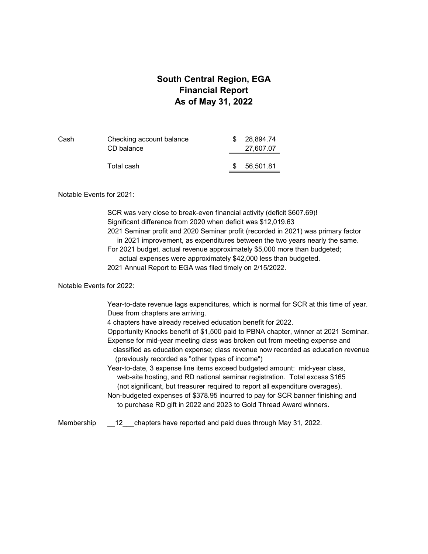### **South Central Region, EGA Financial Report As of May 31, 2022**

| Cash | Checking account balance<br>CD balance | 28.894.74<br>27,607.07 |
|------|----------------------------------------|------------------------|
|      | Total cash                             | 56,501.81              |

#### Notable Events for 2021:

SCR was very close to break-even financial activity (deficit \$607.69)! Significant difference from 2020 when deficit was \$12,019.63 2021 Seminar profit and 2020 Seminar profit (recorded in 2021) was primary factor in 2021 improvement, as expenditures between the two years nearly the same. For 2021 budget, actual revenue approximately \$5,000 more than budgeted; actual expenses were approximately \$42,000 less than budgeted. 2021 Annual Report to EGA was filed timely on 2/15/2022.

#### Notable Events for 2022:

Year-to-date revenue lags expenditures, which is normal for SCR at this time of year. Dues from chapters are arriving.

4 chapters have already received education benefit for 2022.

Opportunity Knocks benefit of \$1,500 paid to PBNA chapter, winner at 2021 Seminar. Expense for mid-year meeting class was broken out from meeting expense and classified as education expense; class revenue now recorded as education revenue (previously recorded as "other types of income")

Year-to-date, 3 expense line items exceed budgeted amount: mid-year class, web-site hosting, and RD national seminar registration. Total excess \$165 (not significant, but treasurer required to report all expenditure overages).

Non-budgeted expenses of \$378.95 incurred to pay for SCR banner finishing and to purchase RD gift in 2022 and 2023 to Gold Thread Award winners.

Membership \_\_12\_\_\_chapters have reported and paid dues through May 31, 2022.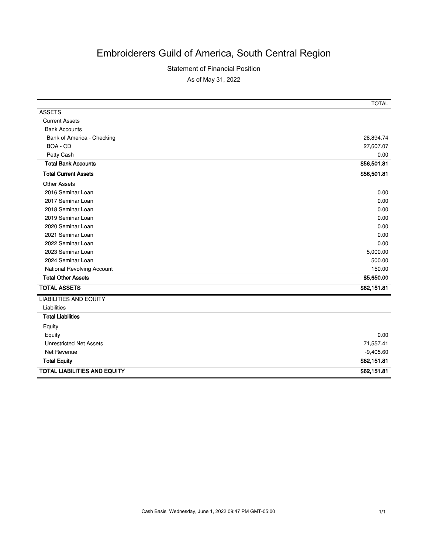# Embroiderers Guild of America, South Central Region

#### Statement of Financial Position

As of May 31, 2022

|                                     | <b>TOTAL</b> |
|-------------------------------------|--------------|
| <b>ASSETS</b>                       |              |
| <b>Current Assets</b>               |              |
| <b>Bank Accounts</b>                |              |
| Bank of America - Checking          | 28,894.74    |
| BOA - CD                            | 27,607.07    |
| Petty Cash                          | 0.00         |
| <b>Total Bank Accounts</b>          | \$56,501.81  |
| <b>Total Current Assets</b>         | \$56,501.81  |
| <b>Other Assets</b>                 |              |
| 2016 Seminar Loan                   | 0.00         |
| 2017 Seminar Loan                   | 0.00         |
| 2018 Seminar Loan                   | 0.00         |
| 2019 Seminar Loan                   | 0.00         |
| 2020 Seminar Loan                   | 0.00         |
| 2021 Seminar Loan                   | 0.00         |
| 2022 Seminar Loan                   | 0.00         |
| 2023 Seminar Loan                   | 5,000.00     |
| 2024 Seminar Loan                   | 500.00       |
| National Revolving Account          | 150.00       |
| <b>Total Other Assets</b>           | \$5,650.00   |
| <b>TOTAL ASSETS</b>                 | \$62,151.81  |
| <b>LIABILITIES AND EQUITY</b>       |              |
| Liabilities                         |              |
| <b>Total Liabilities</b>            |              |
| Equity                              |              |
| Equity                              | 0.00         |
| <b>Unrestricted Net Assets</b>      | 71,557.41    |
| Net Revenue                         | $-9,405.60$  |
| <b>Total Equity</b>                 | \$62,151.81  |
| <b>TOTAL LIABILITIES AND EQUITY</b> | \$62,151.81  |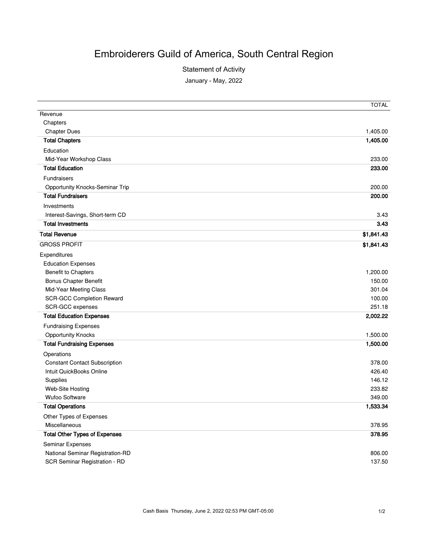# Embroiderers Guild of America, South Central Region

Statement of Activity

January - May, 2022

|                                        | <b>TOTAL</b> |
|----------------------------------------|--------------|
| Revenue                                |              |
| Chapters                               |              |
| <b>Chapter Dues</b>                    | 1,405.00     |
| <b>Total Chapters</b>                  | 1,405.00     |
| Education                              |              |
| Mid-Year Workshop Class                | 233.00       |
| <b>Total Education</b>                 | 233.00       |
| <b>Fundraisers</b>                     |              |
| <b>Opportunity Knocks-Seminar Trip</b> | 200.00       |
| <b>Total Fundraisers</b>               | 200.00       |
| Investments                            |              |
| Interest-Savings, Short-term CD        | 3.43         |
| <b>Total Investments</b>               | 3.43         |
| <b>Total Revenue</b>                   | \$1,841.43   |
| <b>GROSS PROFIT</b>                    | \$1,841.43   |
| Expenditures                           |              |
| <b>Education Expenses</b>              |              |
| <b>Benefit to Chapters</b>             | 1,200.00     |
| <b>Bonus Chapter Benefit</b>           | 150.00       |
| Mid-Year Meeting Class                 | 301.04       |
| <b>SCR-GCC Completion Reward</b>       | 100.00       |
| SCR-GCC expenses                       | 251.18       |
| <b>Total Education Expenses</b>        | 2,002.22     |
| <b>Fundraising Expenses</b>            |              |
| <b>Opportunity Knocks</b>              | 1,500.00     |
| <b>Total Fundraising Expenses</b>      | 1,500.00     |
| Operations                             |              |
| <b>Constant Contact Subscription</b>   | 378.00       |
| Intuit QuickBooks Online               | 426.40       |
| Supplies                               | 146.12       |
| Web-Site Hosting                       | 233.82       |
| <b>Wufoo Software</b>                  | 349.00       |
| <b>Total Operations</b>                | 1,533.34     |
| Other Types of Expenses                |              |
| Miscellaneous                          | 378.95       |
| <b>Total Other Types of Expenses</b>   | 378.95       |
| Seminar Expenses                       |              |
| National Seminar Registration-RD       | 806.00       |
| SCR Seminar Registration - RD          | 137.50       |